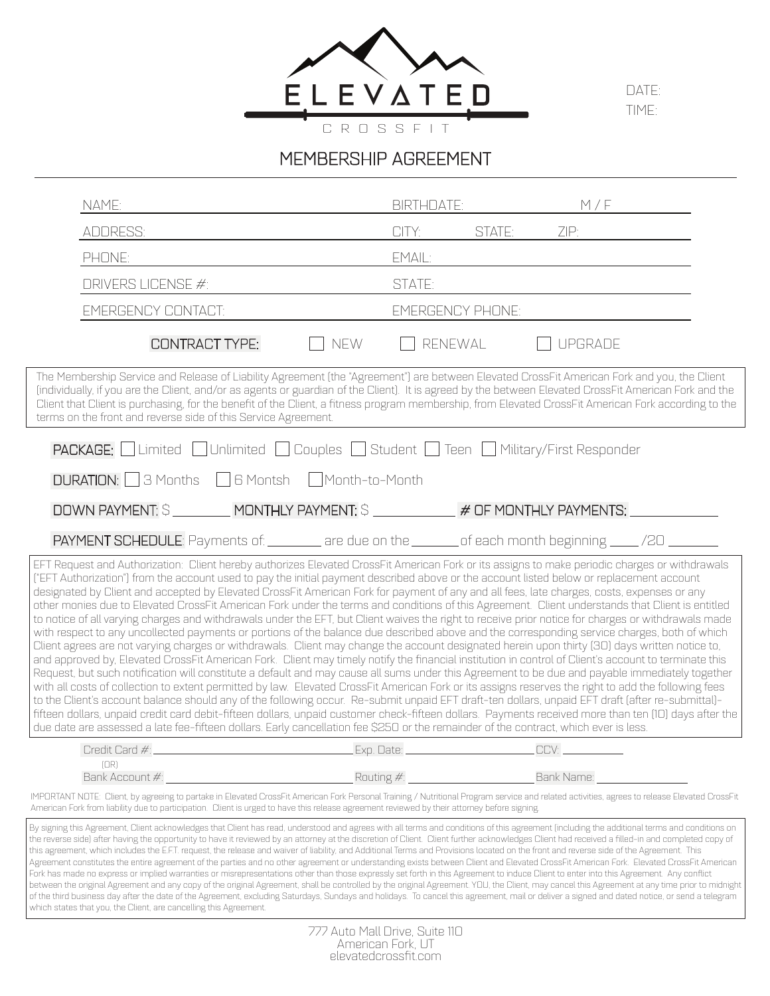

DATE: TIME:

# MEMBERSHIP AGREEMENT

| NAME:                                                                                                                                                                                                                                                                                                                                                                                                                                                                                                                                                                                                                                                                                                                                                                                                                                                                                                                                                                                                                                                                                                                                                                                                                                                                                                                                                                                                                                                                                                                                                                                                                                                                                                                                                                                                                                                                                                                                                                            | <b>BIRTHDATE:</b>       |        | M/F            |  |
|----------------------------------------------------------------------------------------------------------------------------------------------------------------------------------------------------------------------------------------------------------------------------------------------------------------------------------------------------------------------------------------------------------------------------------------------------------------------------------------------------------------------------------------------------------------------------------------------------------------------------------------------------------------------------------------------------------------------------------------------------------------------------------------------------------------------------------------------------------------------------------------------------------------------------------------------------------------------------------------------------------------------------------------------------------------------------------------------------------------------------------------------------------------------------------------------------------------------------------------------------------------------------------------------------------------------------------------------------------------------------------------------------------------------------------------------------------------------------------------------------------------------------------------------------------------------------------------------------------------------------------------------------------------------------------------------------------------------------------------------------------------------------------------------------------------------------------------------------------------------------------------------------------------------------------------------------------------------------------|-------------------------|--------|----------------|--|
| ADDRESS:                                                                                                                                                                                                                                                                                                                                                                                                                                                                                                                                                                                                                                                                                                                                                                                                                                                                                                                                                                                                                                                                                                                                                                                                                                                                                                                                                                                                                                                                                                                                                                                                                                                                                                                                                                                                                                                                                                                                                                         | CITY:                   | STATE: | ZIP:           |  |
| PHONE:                                                                                                                                                                                                                                                                                                                                                                                                                                                                                                                                                                                                                                                                                                                                                                                                                                                                                                                                                                                                                                                                                                                                                                                                                                                                                                                                                                                                                                                                                                                                                                                                                                                                                                                                                                                                                                                                                                                                                                           | EMAIL:                  |        |                |  |
| <b>DRIVERS LICENSE #:</b>                                                                                                                                                                                                                                                                                                                                                                                                                                                                                                                                                                                                                                                                                                                                                                                                                                                                                                                                                                                                                                                                                                                                                                                                                                                                                                                                                                                                                                                                                                                                                                                                                                                                                                                                                                                                                                                                                                                                                        | STATE:                  |        |                |  |
| <b>EMERGENCY CONTACT:</b>                                                                                                                                                                                                                                                                                                                                                                                                                                                                                                                                                                                                                                                                                                                                                                                                                                                                                                                                                                                                                                                                                                                                                                                                                                                                                                                                                                                                                                                                                                                                                                                                                                                                                                                                                                                                                                                                                                                                                        | <b>EMERGENCY PHONE:</b> |        |                |  |
| <b>CONTRACT TYPE:</b>                                                                                                                                                                                                                                                                                                                                                                                                                                                                                                                                                                                                                                                                                                                                                                                                                                                                                                                                                                                                                                                                                                                                                                                                                                                                                                                                                                                                                                                                                                                                                                                                                                                                                                                                                                                                                                                                                                                                                            | NEW<br>RENEWAL          |        | <b>UPGRADE</b> |  |
| The Membership Service and Release of Liability Agreement (the "Agreement") are between Elevated CrossFit American Fork and you, the Client<br>(individually, if you are the Client, and/or as agents or guardian of the Client). It is agreed by the between Elevated CrossFit American Fork and the<br>Client that Client is purchasing, for the benefit of the Client, a fitness program membership, from Elevated CrossFit American Fork according to the<br>terms on the front and reverse side of this Service Agreement.                                                                                                                                                                                                                                                                                                                                                                                                                                                                                                                                                                                                                                                                                                                                                                                                                                                                                                                                                                                                                                                                                                                                                                                                                                                                                                                                                                                                                                                  |                         |        |                |  |
| <b>PACKAGE:</b> Limited DUnlimited DCouples DStudent DTeen DMilitary/First Responder                                                                                                                                                                                                                                                                                                                                                                                                                                                                                                                                                                                                                                                                                                                                                                                                                                                                                                                                                                                                                                                                                                                                                                                                                                                                                                                                                                                                                                                                                                                                                                                                                                                                                                                                                                                                                                                                                             |                         |        |                |  |
| <b>DURATION:</b> 3 Months □ 6 Montsh □ Month-to-Month                                                                                                                                                                                                                                                                                                                                                                                                                                                                                                                                                                                                                                                                                                                                                                                                                                                                                                                                                                                                                                                                                                                                                                                                                                                                                                                                                                                                                                                                                                                                                                                                                                                                                                                                                                                                                                                                                                                            |                         |        |                |  |
| DOWN PAYMENT: \$ _________ MONTHLY PAYMENT: \$ ___________ # OF MONTHLY PAYMENTS:                                                                                                                                                                                                                                                                                                                                                                                                                                                                                                                                                                                                                                                                                                                                                                                                                                                                                                                                                                                                                                                                                                                                                                                                                                                                                                                                                                                                                                                                                                                                                                                                                                                                                                                                                                                                                                                                                                |                         |        |                |  |
| PAYMENT SCHEDULE: Payments of: _______ are due on the ______ of each month beginning ____ /20 ______                                                                                                                                                                                                                                                                                                                                                                                                                                                                                                                                                                                                                                                                                                                                                                                                                                                                                                                                                                                                                                                                                                                                                                                                                                                                                                                                                                                                                                                                                                                                                                                                                                                                                                                                                                                                                                                                             |                         |        |                |  |
| EFT Request and Authorization: Client hereby authorizes Elevated CrossFit American Fork or its assigns to make periodic charges or withdrawals<br>("EFT Authorization") from the account used to pay the initial payment described above or the account listed below or replacement account<br>designated by Client and accepted by Elevated CrossFit American Fork for payment of any and all fees, late charges, costs, expenses or any<br>other monies due to Elevated CrossFit American Fork under the terms and conditions of this Agreement. Client understands that Client is entitled<br>to notice of all varying charges and withdrawals under the EFT, but Client waives the right to receive prior notice for charges or withdrawals made<br>with respect to any uncollected payments or portions of the balance due described above and the corresponding service charges, both of which<br>Client agrees are not varying charges or withdrawals. Client may change the account designated herein upon thirty (30) days written notice to,<br>and approved by, Elevated CrossFit American Fork. Client may timely notify the financial institution in control of Client's account to terminate this<br>Request, but such notification will constitute a default and may cause all sums under this Agreement to be due and payable immediately together<br>with all costs of collection to extent permitted by law. Elevated CrossFit American Fork or its assigns reserves the right to add the following fees<br>to the Client's account balance should any of the following occur. Re-submit unpaid EFT draft-ten dollars, unpaid EFT draft (after re-submittal)-<br>fifteen dollars, unpaid credit card debit-fifteen dollars, unpaid customer check-fifteen dollars. Payments received more than ten (10) days after the<br>due date are assessed a late fee-fifteen dollars. Early cancellation fee \$250 or the remainder of the contract, which ever is less. |                         |        |                |  |
| Credit Card #:                                                                                                                                                                                                                                                                                                                                                                                                                                                                                                                                                                                                                                                                                                                                                                                                                                                                                                                                                                                                                                                                                                                                                                                                                                                                                                                                                                                                                                                                                                                                                                                                                                                                                                                                                                                                                                                                                                                                                                   | . Exp. Date: _          |        | CCV:           |  |
| [OR]<br>Bank Account #:                                                                                                                                                                                                                                                                                                                                                                                                                                                                                                                                                                                                                                                                                                                                                                                                                                                                                                                                                                                                                                                                                                                                                                                                                                                                                                                                                                                                                                                                                                                                                                                                                                                                                                                                                                                                                                                                                                                                                          | Routing #:              |        | Bank Name:     |  |
| IMPORTANT NOTE: Client, by agreeing to partake in Elevated CrossFit American Fork Personal Training / Nutritional Program service and related activities, agrees to release Elevated CrossFit<br>American Fork from liability due to participation. Client is urged to have this release agreement reviewed by their attorney before signing.                                                                                                                                                                                                                                                                                                                                                                                                                                                                                                                                                                                                                                                                                                                                                                                                                                                                                                                                                                                                                                                                                                                                                                                                                                                                                                                                                                                                                                                                                                                                                                                                                                    |                         |        |                |  |
| By signing this Agreement, Client acknowledges that Client has read, understood and agrees with all terms and conditions of this agreement (including the additional terms and conditions on<br>the reverse side) after having the opportunity to have it reviewed by an attorney at the discretion of Client. Client further acknowledges Client had received a filled-in and completed copy of<br>this agreement, which includes the E.F.T. request, the release and waiver of liability, and Additional Terms and Provisions located on the front and reverse side of the Agreement. This<br>Agreement constitutes the entire agreement of the parties and no other agreement or understanding exists between Client and Elevated CrossFit American Fork. Elevated CrossFit American<br>Fork has made no express or implied warranties or misrepresentations other than those expressly set forth in this Agreement to induce Client to enter into this Agreement. Any conflict<br>between the original Agreement and any copy of the original Agreement, shall be controlled by the original Agreement. YOU, the Client, may cancel this Agreement at any time prior to midnight<br>of the third business day after the date of the Agreement, excluding Saturdays, Sundays and holidays. To cancel this agreement, mail or deliver a signed and dated notice, or send a telegram<br>which states that you, the Client, are cancelling this Agreement.                                                                                                                                                                                                                                                                                                                                                                                                                                                                                                                       |                         |        |                |  |